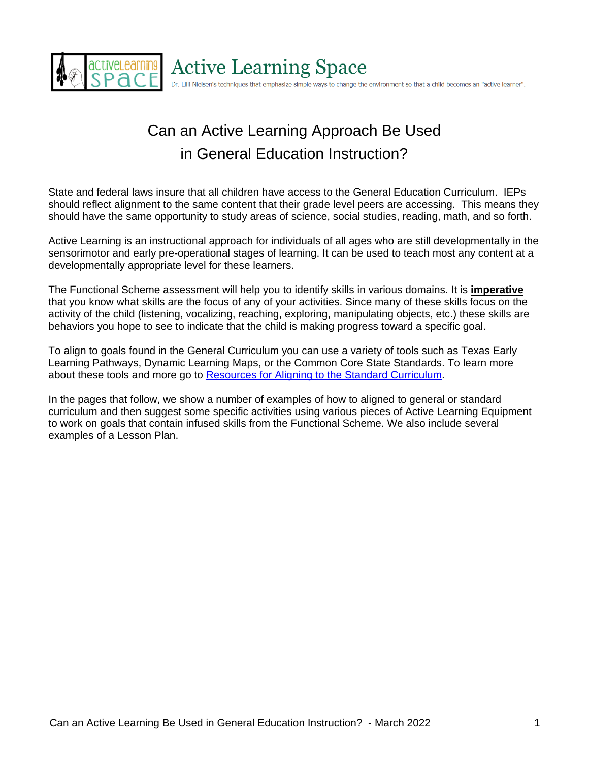

# **Active Learning Space**

Dr. Lilli Nielsen's techniques that emphasize simple ways to change the environment so that a child becomes an "active learner".

# Can an Active Learning Approach Be Used in General Education Instruction?

State and federal laws insure that all children have access to the General Education Curriculum. IEPs should reflect alignment to the same content that their grade level peers are accessing. This means they should have the same opportunity to study areas of science, social studies, reading, math, and so forth.

Active Learning is an instructional approach for individuals of all ages who are still developmentally in the sensorimotor and early pre-operational stages of learning. It can be used to teach most any content at a developmentally appropriate level for these learners.

The Functional Scheme assessment will help you to identify skills in various domains. It is **imperative** that you know what skills are the focus of any of your activities. Since many of these skills focus on the activity of the child (listening, vocalizing, reaching, exploring, manipulating objects, etc.) these skills are behaviors you hope to see to indicate that the child is making progress toward a specific goal.

To align to goals found in the General Curriculum you can use a variety of tools such as Texas Early Learning Pathways, Dynamic Learning Maps, or the Common Core State Standards. To learn more about these tools and more go to [Resources for Aligning to the Standard Curriculum.](https://activelearningspace.org/program-planning/resources-for-aligning-goals-to-the-standard-curriculum/)

In the pages that follow, we show a number of examples of how to aligned to general or standard curriculum and then suggest some specific activities using various pieces of Active Learning Equipment to work on goals that contain infused skills from the Functional Scheme. We also include several examples of a Lesson Plan.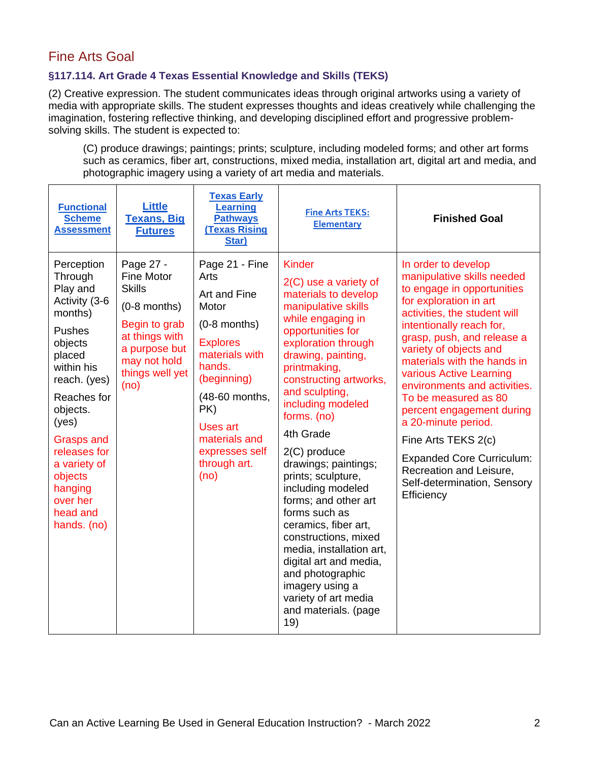# Fine Arts Goal

### **§117.114. Art Grade 4 Texas Essential Knowledge and Skills (TEKS)**

(2) Creative expression. The student communicates ideas through original artworks using a variety of media with appropriate skills. The student expresses thoughts and ideas creatively while challenging the imagination, fostering reflective thinking, and developing disciplined effort and progressive problemsolving skills. The student is expected to:

(C) produce drawings; paintings; prints; sculpture, including modeled forms; and other art forms such as ceramics, fiber art, constructions, mixed media, installation art, digital art and media, and photographic imagery using a variety of art media and materials.

| <b>Functional</b><br><b>Scheme</b><br><b>Assessment</b>                                                                                                                                                                                                                                 | <b>Little</b><br><b>Texans, Big</b><br><b>Futures</b>                                                                                                            | <b>Texas Early</b><br><b>Learning</b><br><b>Pathways</b><br><b>Texas Rising</b><br>Star)                                                                                                                                               | <b>Fine Arts TEKS:</b><br><b>Elementary</b>                                                                                                                                                                                                                                                                                                                                                                                                                                                                                                                                                                                   | <b>Finished Goal</b>                                                                                                                                                                                                                                                                                                                                                                                                                                                                                                                   |
|-----------------------------------------------------------------------------------------------------------------------------------------------------------------------------------------------------------------------------------------------------------------------------------------|------------------------------------------------------------------------------------------------------------------------------------------------------------------|----------------------------------------------------------------------------------------------------------------------------------------------------------------------------------------------------------------------------------------|-------------------------------------------------------------------------------------------------------------------------------------------------------------------------------------------------------------------------------------------------------------------------------------------------------------------------------------------------------------------------------------------------------------------------------------------------------------------------------------------------------------------------------------------------------------------------------------------------------------------------------|----------------------------------------------------------------------------------------------------------------------------------------------------------------------------------------------------------------------------------------------------------------------------------------------------------------------------------------------------------------------------------------------------------------------------------------------------------------------------------------------------------------------------------------|
| Perception<br>Through<br>Play and<br>Activity (3-6<br>months)<br><b>Pushes</b><br>objects<br>placed<br>within his<br>reach. (yes)<br>Reaches for<br>objects.<br>(yes)<br><b>Grasps and</b><br>releases for<br>a variety of<br>objects<br>hanging<br>over her<br>head and<br>hands. (no) | Page 27 -<br><b>Fine Motor</b><br><b>Skills</b><br>$(0-8$ months)<br>Begin to grab<br>at things with<br>a purpose but<br>may not hold<br>things well yet<br>(no) | Page 21 - Fine<br>Arts<br>Art and Fine<br>Motor<br>$(0-8$ months)<br><b>Explores</b><br>materials with<br>hands.<br>(beginning)<br>(48-60 months,<br>PK)<br><b>Uses art</b><br>materials and<br>expresses self<br>through art.<br>(no) | <b>Kinder</b><br>$2(C)$ use a variety of<br>materials to develop<br>manipulative skills<br>while engaging in<br>opportunities for<br>exploration through<br>drawing, painting,<br>printmaking,<br>constructing artworks,<br>and sculpting,<br>including modeled<br>forms. (no)<br>4th Grade<br>$2(C)$ produce<br>drawings; paintings;<br>prints; sculpture,<br>including modeled<br>forms; and other art<br>forms such as<br>ceramics, fiber art,<br>constructions, mixed<br>media, installation art,<br>digital art and media,<br>and photographic<br>imagery using a<br>variety of art media<br>and materials. (page<br>19) | In order to develop<br>manipulative skills needed<br>to engage in opportunities<br>for exploration in art<br>activities, the student will<br>intentionally reach for,<br>grasp, push, and release a<br>variety of objects and<br>materials with the hands in<br>various Active Learning<br>environments and activities.<br>To be measured as 80<br>percent engagement during<br>a 20-minute period.<br>Fine Arts TEKS 2(c)<br><b>Expanded Core Curriculum:</b><br>Recreation and Leisure,<br>Self-determination, Sensory<br>Efficiency |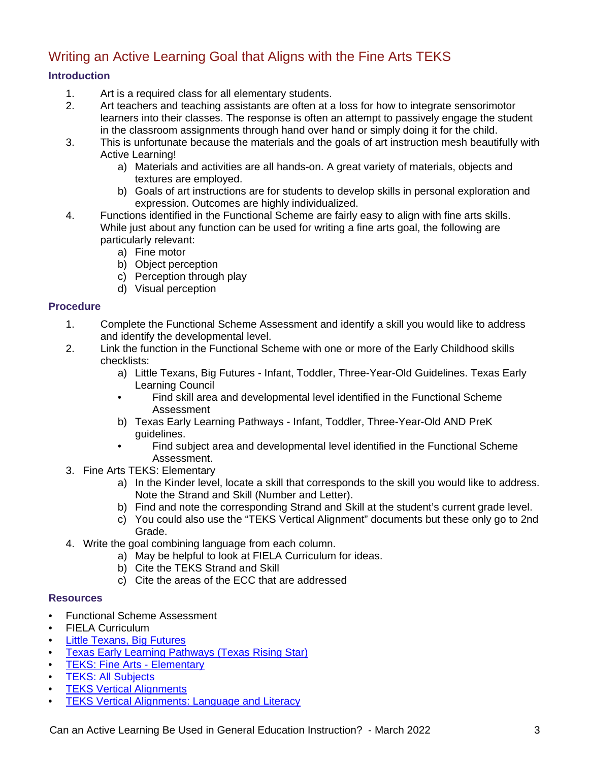# Writing an Active Learning Goal that Aligns with the Fine Arts TEKS

### **Introduction**

- 1. Art is a required class for all elementary students.
- 2. Art teachers and teaching assistants are often at a loss for how to integrate sensorimotor learners into their classes. The response is often an attempt to passively engage the student in the classroom assignments through hand over hand or simply doing it for the child.
- 3. This is unfortunate because the materials and the goals of art instruction mesh beautifully with Active Learning!
	- a) Materials and activities are all hands-on. A great variety of materials, objects and textures are employed.
	- b) Goals of art instructions are for students to develop skills in personal exploration and expression. Outcomes are highly individualized.
- 4. Functions identified in the Functional Scheme are fairly easy to align with fine arts skills. While just about any function can be used for writing a fine arts goal, the following are particularly relevant:
	- a) Fine motor
	- b) Object perception
	- c) Perception through play
	- d) Visual perception

### **Procedure**

- 1. Complete the Functional Scheme Assessment and identify a skill you would like to address and identify the developmental level.
- 2. Link the function in the Functional Scheme with one or more of the Early Childhood skills checklists:
	- a) Little Texans, Big Futures Infant, Toddler, Three-Year-Old Guidelines. Texas Early Learning Council
	- Find skill area and developmental level identified in the Functional Scheme Assessment
	- b) Texas Early Learning Pathways Infant, Toddler, Three-Year-Old AND PreK guidelines.
	- Find subject area and developmental level identified in the Functional Scheme Assessment.
- 3. Fine Arts TEKS: Elementary
	- a) In the Kinder level, locate a skill that corresponds to the skill you would like to address. Note the Strand and Skill (Number and Letter).
	- b) Find and note the corresponding Strand and Skill at the student's current grade level.
	- c) You could also use the "TEKS Vertical Alignment" documents but these only go to 2nd Grade.
- 4. Write the goal combining language from each column.
	- a) May be helpful to look at FIELA Curriculum for ideas.
	- b) Cite the TEKS Strand and Skill
	- c) Cite the areas of the ECC that are addressed

### **Resources**

- Functional Scheme Assessment
- FIELA Curriculum
- [Little Texans, Big Futures](http://littletexans.org/)
- [Texas Early Learning Pathways \(Texas Rising Star\)](https://texasrisingstar.org/wp-content/uploads/2016/01/TexasEarlyLearningPathways%20(1).pdf)
- [TEKS: Fine Arts -](https://tea.texas.gov/about-tea/laws-and-rules/texas-administrative-code/19-tac-chapter-117) Elementary
- [TEKS: All Subjects](https://tea.texas.gov/about-tea/laws-and-rules/texas-administrative-code/texas-administrative-code-title-19-part-2)
- [TEKS Vertical Alignments](https://tea.texas.gov/academics/early-childhood-education/vertical-alignments)
- **[TEKS Vertical Alignments: Language and](https://tea.texas.gov/sites/default/files/PK-2nd-TEKS-ELAR-Alignment.pdf) Literacy**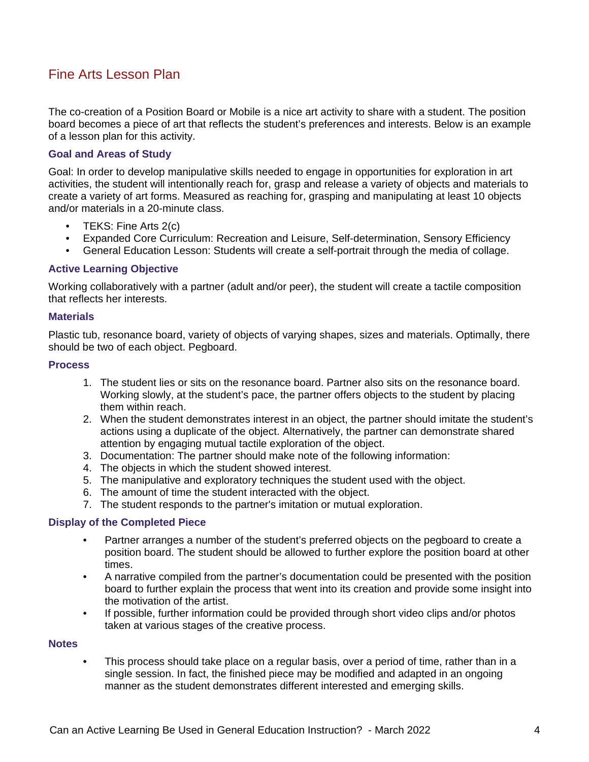# Fine Arts Lesson Plan

The co-creation of a Position Board or Mobile is a nice art activity to share with a student. The position board becomes a piece of art that reflects the student's preferences and interests. Below is an example of a lesson plan for this activity.

#### **Goal and Areas of Study**

Goal: In order to develop manipulative skills needed to engage in opportunities for exploration in art activities, the student will intentionally reach for, grasp and release a variety of objects and materials to create a variety of art forms. Measured as reaching for, grasping and manipulating at least 10 objects and/or materials in a 20-minute class.

- TEKS: Fine Arts 2(c)
- Expanded Core Curriculum: Recreation and Leisure, Self-determination, Sensory Efficiency
- General Education Lesson: Students will create a self-portrait through the media of collage.

#### **Active Learning Objective**

Working collaboratively with a partner (adult and/or peer), the student will create a tactile composition that reflects her interests.

#### **Materials**

Plastic tub, resonance board, variety of objects of varying shapes, sizes and materials. Optimally, there should be two of each object. Pegboard.

#### **Process**

- 1. The student lies or sits on the resonance board. Partner also sits on the resonance board. Working slowly, at the student's pace, the partner offers objects to the student by placing them within reach.
- 2. When the student demonstrates interest in an object, the partner should imitate the student's actions using a duplicate of the object. Alternatively, the partner can demonstrate shared attention by engaging mutual tactile exploration of the object.
- 3. Documentation: The partner should make note of the following information:
- 4. The objects in which the student showed interest.
- 5. The manipulative and exploratory techniques the student used with the object.
- 6. The amount of time the student interacted with the object.
- 7. The student responds to the partner's imitation or mutual exploration.

#### **Display of the Completed Piece**

- Partner arranges a number of the student's preferred objects on the pegboard to create a position board. The student should be allowed to further explore the position board at other times.
- A narrative compiled from the partner's documentation could be presented with the position board to further explain the process that went into its creation and provide some insight into the motivation of the artist.
- If possible, further information could be provided through short video clips and/or photos taken at various stages of the creative process.

#### **Notes**

• This process should take place on a regular basis, over a period of time, rather than in a single session. In fact, the finished piece may be modified and adapted in an ongoing manner as the student demonstrates different interested and emerging skills.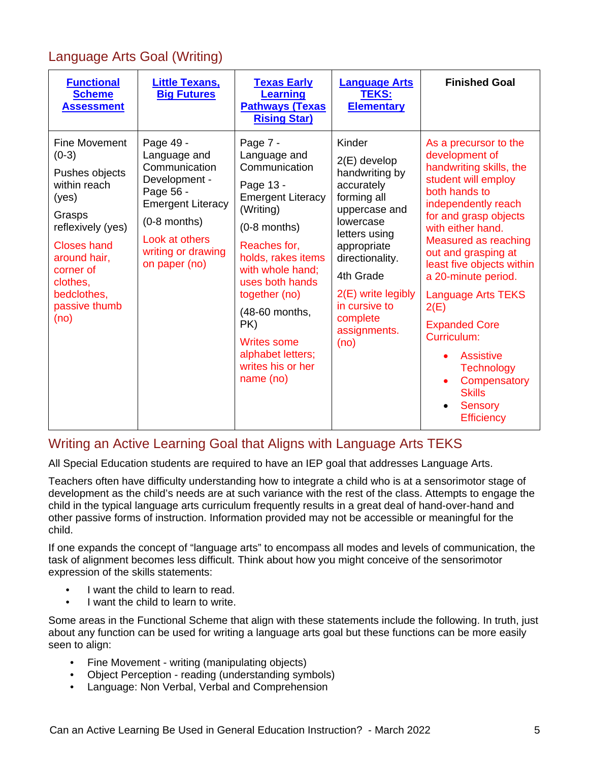# Language Arts Goal (Writing)

| <b>Functional</b><br><b>Scheme</b><br><b>Assessment</b>                                                                                                                                                          | <b>Little Texans,</b><br><b>Big Futures</b>                                                                                                                                     | <b>Texas Early</b><br>Learning<br><b>Pathways (Texas)</b><br><b>Rising Star)</b>                                                                                                                                                                                                                                     | <b>Language Arts</b><br><b>TEKS:</b><br><b>Elementary</b>                                                                                                                                                                                          | <b>Finished Goal</b>                                                                                                                                                                                                                                                                                                                                                                                                                                                            |
|------------------------------------------------------------------------------------------------------------------------------------------------------------------------------------------------------------------|---------------------------------------------------------------------------------------------------------------------------------------------------------------------------------|----------------------------------------------------------------------------------------------------------------------------------------------------------------------------------------------------------------------------------------------------------------------------------------------------------------------|----------------------------------------------------------------------------------------------------------------------------------------------------------------------------------------------------------------------------------------------------|---------------------------------------------------------------------------------------------------------------------------------------------------------------------------------------------------------------------------------------------------------------------------------------------------------------------------------------------------------------------------------------------------------------------------------------------------------------------------------|
| <b>Fine Movement</b><br>$(0-3)$<br>Pushes objects<br>within reach<br>(yes)<br>Grasps<br>reflexively (yes)<br><b>Closes hand</b><br>around hair,<br>corner of<br>clothes,<br>bedclothes,<br>passive thumb<br>(no) | Page 49 -<br>Language and<br>Communication<br>Development -<br>Page 56 -<br><b>Emergent Literacy</b><br>$(0-8$ months)<br>Look at others<br>writing or drawing<br>on paper (no) | Page 7 -<br>Language and<br>Communication<br>Page 13 -<br><b>Emergent Literacy</b><br>(Writing)<br>$(0-8$ months)<br>Reaches for,<br>holds, rakes items<br>with whole hand:<br>uses both hands<br>together (no)<br>(48-60 months,<br>PK)<br><b>Writes some</b><br>alphabet letters;<br>writes his or her<br>name(no) | Kinder<br>$2(E)$ develop<br>handwriting by<br>accurately<br>forming all<br>uppercase and<br>lowercase<br>letters using<br>appropriate<br>directionality.<br>4th Grade<br>$2(E)$ write legibly<br>in cursive to<br>complete<br>assignments.<br>(no) | As a precursor to the<br>development of<br>handwriting skills, the<br>student will employ<br>both hands to<br>independently reach<br>for and grasp objects<br>with either hand.<br>Measured as reaching<br>out and grasping at<br>least five objects within<br>a 20-minute period.<br><b>Language Arts TEKS</b><br>2(E)<br><b>Expanded Core</b><br>Curriculum:<br><b>Assistive</b><br><b>Technology</b><br>Compensatory<br><b>Skills</b><br><b>Sensory</b><br><b>Efficiency</b> |

# Writing an Active Learning Goal that Aligns with Language Arts TEKS

All Special Education students are required to have an IEP goal that addresses Language Arts.

Teachers often have difficulty understanding how to integrate a child who is at a sensorimotor stage of development as the child's needs are at such variance with the rest of the class. Attempts to engage the child in the typical language arts curriculum frequently results in a great deal of hand-over-hand and other passive forms of instruction. Information provided may not be accessible or meaningful for the child.

If one expands the concept of "language arts" to encompass all modes and levels of communication, the task of alignment becomes less difficult. Think about how you might conceive of the sensorimotor expression of the skills statements:

- I want the child to learn to read.
- I want the child to learn to write.

Some areas in the Functional Scheme that align with these statements include the following. In truth, just about any function can be used for writing a language arts goal but these functions can be more easily seen to align:

- Fine Movement writing (manipulating objects)
- Object Perception reading (understanding symbols)
- Language: Non Verbal, Verbal and Comprehension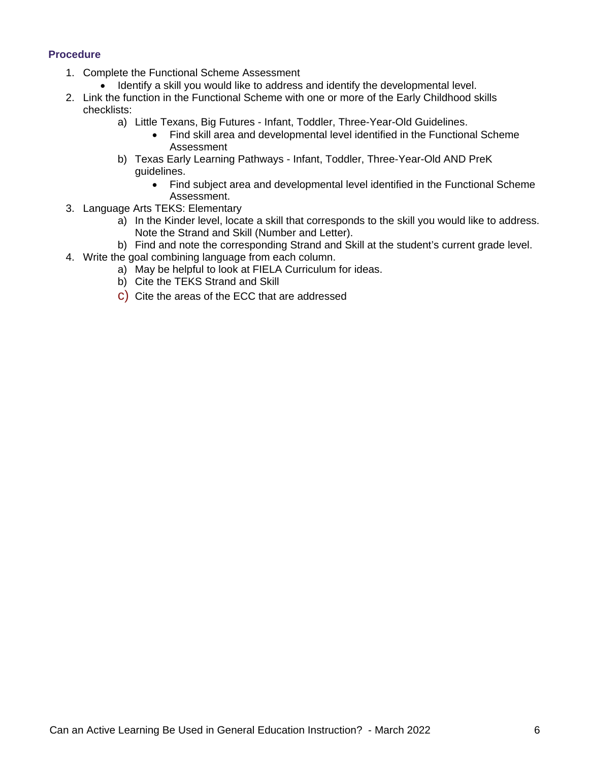### **Procedure**

- 1. Complete the Functional Scheme Assessment
	- Identify a skill you would like to address and identify the developmental level.
- 2. Link the function in the Functional Scheme with one or more of the Early Childhood skills checklists:
	- a) Little Texans, Big Futures Infant, Toddler, Three-Year-Old Guidelines.
		- Find skill area and developmental level identified in the Functional Scheme Assessment
	- b) Texas Early Learning Pathways Infant, Toddler, Three-Year-Old AND PreK guidelines.
		- Find subject area and developmental level identified in the Functional Scheme Assessment.
- 3. Language Arts TEKS: Elementary
	- a) In the Kinder level, locate a skill that corresponds to the skill you would like to address. Note the Strand and Skill (Number and Letter).
	- b) Find and note the corresponding Strand and Skill at the student's current grade level.
- 4. Write the goal combining language from each column.
	- a) May be helpful to look at FIELA Curriculum for ideas.
	- b) Cite the TEKS Strand and Skill
	- c) Cite the areas of the ECC that are addressed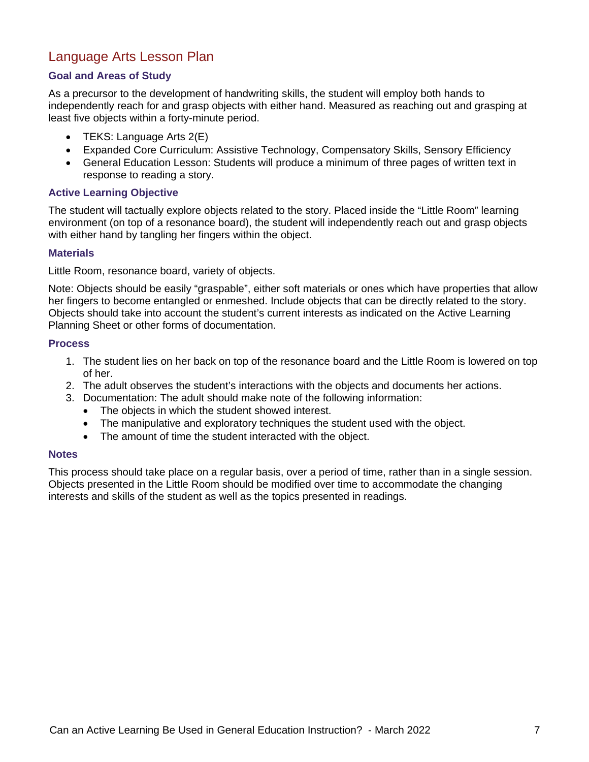# Language Arts Lesson Plan

### **Goal and Areas of Study**

As a precursor to the development of handwriting skills, the student will employ both hands to independently reach for and grasp objects with either hand. Measured as reaching out and grasping at least five objects within a forty-minute period.

- TEKS: Language Arts 2(E)
- Expanded Core Curriculum: Assistive Technology, Compensatory Skills, Sensory Efficiency
- General Education Lesson: Students will produce a minimum of three pages of written text in response to reading a story.

### **Active Learning Objective**

The student will tactually explore objects related to the story. Placed inside the "Little Room" learning environment (on top of a resonance board), the student will independently reach out and grasp objects with either hand by tangling her fingers within the object.

### **Materials**

Little Room, resonance board, variety of objects.

Note: Objects should be easily "graspable", either soft materials or ones which have properties that allow her fingers to become entangled or enmeshed. Include objects that can be directly related to the story. Objects should take into account the student's current interests as indicated on the Active Learning Planning Sheet or other forms of documentation.

### **Process**

- 1. The student lies on her back on top of the resonance board and the Little Room is lowered on top of her.
- 2. The adult observes the student's interactions with the objects and documents her actions.
- 3. Documentation: The adult should make note of the following information:
	- The objects in which the student showed interest.
	- The manipulative and exploratory techniques the student used with the object.
	- The amount of time the student interacted with the object.

### **Notes**

This process should take place on a regular basis, over a period of time, rather than in a single session. Objects presented in the Little Room should be modified over time to accommodate the changing interests and skills of the student as well as the topics presented in readings.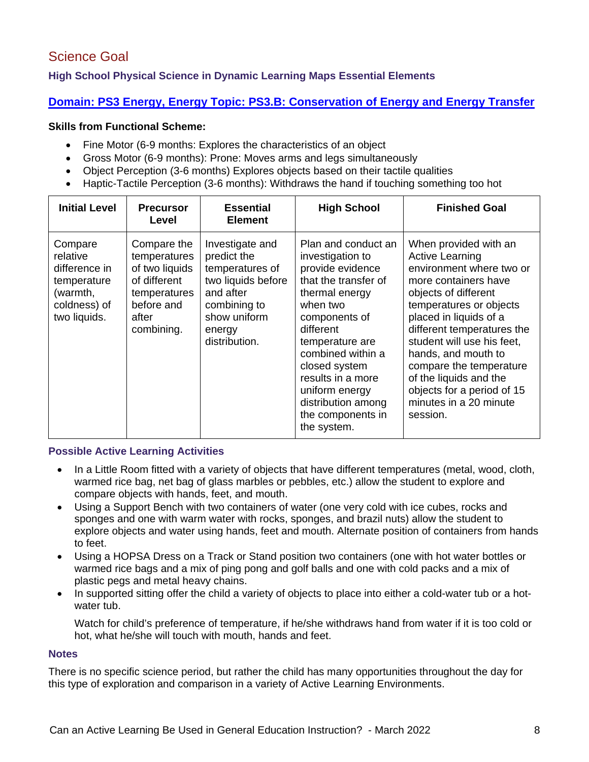# Science Goal

## **High School Physical Science in Dynamic Learning Maps Essential Elements**

## **[Domain: PS3 Energy, Energy Topic: PS3.B: Conservation of Energy and Energy Transfer](https://dynamiclearningmaps.org/sites/default/files/documents/Science/Science_EEs_Combined.pdf)**

### **Skills from Functional Scheme:**

- Fine Motor (6-9 months: Explores the characteristics of an object
- Gross Motor (6-9 months): Prone: Moves arms and legs simultaneously
- Object Perception (3-6 months) Explores objects based on their tactile qualities
- Haptic-Tactile Perception (3-6 months): Withdraws the hand if touching something too hot

| <b>Initial Level</b>                                                                            | <b>Precursor</b><br>Level                                                                                          | <b>Essential</b><br><b>Element</b>                                                                                                              | <b>High School</b>                                                                                                                                                                                                                                                                                        | <b>Finished Goal</b>                                                                                                                                                                                                                                                                                                                                                                         |
|-------------------------------------------------------------------------------------------------|--------------------------------------------------------------------------------------------------------------------|-------------------------------------------------------------------------------------------------------------------------------------------------|-----------------------------------------------------------------------------------------------------------------------------------------------------------------------------------------------------------------------------------------------------------------------------------------------------------|----------------------------------------------------------------------------------------------------------------------------------------------------------------------------------------------------------------------------------------------------------------------------------------------------------------------------------------------------------------------------------------------|
| Compare<br>relative<br>difference in<br>temperature<br>(warmth,<br>coldness) of<br>two liquids. | Compare the<br>temperatures<br>of two liquids<br>of different<br>temperatures<br>before and<br>after<br>combining. | Investigate and<br>predict the<br>temperatures of<br>two liquids before<br>and after<br>combining to<br>show uniform<br>energy<br>distribution. | Plan and conduct an<br>investigation to<br>provide evidence<br>that the transfer of<br>thermal energy<br>when two<br>components of<br>different<br>temperature are<br>combined within a<br>closed system<br>results in a more<br>uniform energy<br>distribution among<br>the components in<br>the system. | When provided with an<br><b>Active Learning</b><br>environment where two or<br>more containers have<br>objects of different<br>temperatures or objects<br>placed in liquids of a<br>different temperatures the<br>student will use his feet,<br>hands, and mouth to<br>compare the temperature<br>of the liquids and the<br>objects for a period of 15<br>minutes in a 20 minute<br>session. |

### **Possible Active Learning Activities**

- In a Little Room fitted with a variety of objects that have different temperatures (metal, wood, cloth, warmed rice bag, net bag of glass marbles or pebbles, etc.) allow the student to explore and compare objects with hands, feet, and mouth.
- Using a Support Bench with two containers of water (one very cold with ice cubes, rocks and sponges and one with warm water with rocks, sponges, and brazil nuts) allow the student to explore objects and water using hands, feet and mouth. Alternate position of containers from hands to feet.
- Using a HOPSA Dress on a Track or Stand position two containers (one with hot water bottles or warmed rice bags and a mix of ping pong and golf balls and one with cold packs and a mix of plastic pegs and metal heavy chains.
- In supported sitting offer the child a variety of objects to place into either a cold-water tub or a hotwater tub.

Watch for child's preference of temperature, if he/she withdraws hand from water if it is too cold or hot, what he/she will touch with mouth, hands and feet.

### **Notes**

There is no specific science period, but rather the child has many opportunities throughout the day for this type of exploration and comparison in a variety of Active Learning Environments.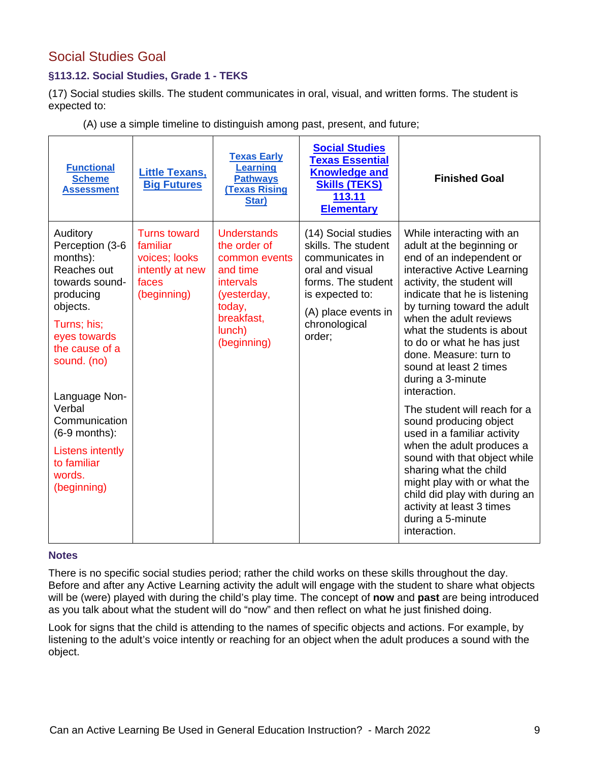# Social Studies Goal

## **§113.12. Social Studies, Grade 1 - TEKS**

(17) Social studies skills. The student communicates in oral, visual, and written forms. The student is expected to:

| <b>Functional</b><br><b>Scheme</b><br><b>Assessment</b>                                                                                                                                                                                                                                      | <b>Little Texans,</b><br><b>Big Futures</b>                                          | <b>Texas Early</b><br><b>Learning</b><br><b>Pathways</b><br><b>Texas Rising</b><br>Star)                                                     | <b>Social Studies</b><br><b>Texas Essential</b><br><b>Knowledge and</b><br><b>Skills (TEKS)</b><br>113.11<br><b>Elementary</b>                                              | <b>Finished Goal</b>                                                                                                                                                                                                                                                                                                                                                                                                                                                                                                                                                                                                                                                                                            |
|----------------------------------------------------------------------------------------------------------------------------------------------------------------------------------------------------------------------------------------------------------------------------------------------|--------------------------------------------------------------------------------------|----------------------------------------------------------------------------------------------------------------------------------------------|-----------------------------------------------------------------------------------------------------------------------------------------------------------------------------|-----------------------------------------------------------------------------------------------------------------------------------------------------------------------------------------------------------------------------------------------------------------------------------------------------------------------------------------------------------------------------------------------------------------------------------------------------------------------------------------------------------------------------------------------------------------------------------------------------------------------------------------------------------------------------------------------------------------|
| Auditory<br>Perception (3-6<br>months):<br>Reaches out<br>towards sound-<br>producing<br>objects.<br>Turns; his;<br>eyes towards<br>the cause of a<br>sound. (no)<br>Language Non-<br>Verbal<br>Communication<br>$(6-9$ months):<br>Listens intently<br>to familiar<br>words.<br>(beginning) | Turns toward<br>familiar<br>voices; looks<br>intently at new<br>faces<br>(beginning) | <b>Understands</b><br>the order of<br>common events<br>and time<br>intervals<br>(yesterday,<br>today,<br>breakfast,<br>lunch)<br>(beginning) | (14) Social studies<br>skills. The student<br>communicates in<br>oral and visual<br>forms. The student<br>is expected to:<br>(A) place events in<br>chronological<br>order; | While interacting with an<br>adult at the beginning or<br>end of an independent or<br>interactive Active Learning<br>activity, the student will<br>indicate that he is listening<br>by turning toward the adult<br>when the adult reviews<br>what the students is about<br>to do or what he has just<br>done. Measure: turn to<br>sound at least 2 times<br>during a 3-minute<br>interaction.<br>The student will reach for a<br>sound producing object<br>used in a familiar activity<br>when the adult produces a<br>sound with that object while<br>sharing what the child<br>might play with or what the<br>child did play with during an<br>activity at least 3 times<br>during a 5-minute<br>interaction. |

(A) use a simple timeline to distinguish among past, present, and future;

#### **Notes**

There is no specific social studies period; rather the child works on these skills throughout the day. Before and after any Active Learning activity the adult will engage with the student to share what objects will be (were) played with during the child's play time. The concept of **now** and **past** are being introduced as you talk about what the student will do "now" and then reflect on what he just finished doing.

Look for signs that the child is attending to the names of specific objects and actions. For example, by listening to the adult's voice intently or reaching for an object when the adult produces a sound with the object.